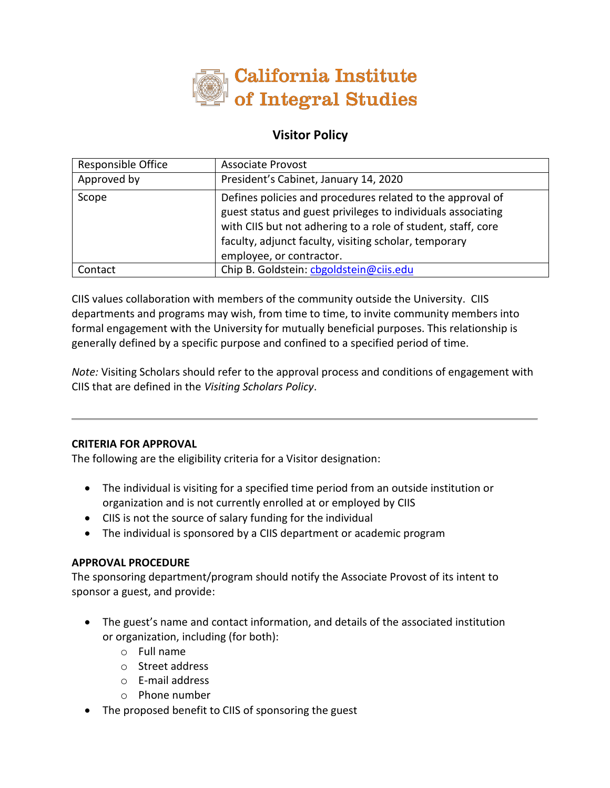

# **Visitor Policy**

| Responsible Office | <b>Associate Provost</b>                                                                                                                                                                                                                                                        |
|--------------------|---------------------------------------------------------------------------------------------------------------------------------------------------------------------------------------------------------------------------------------------------------------------------------|
| Approved by        | President's Cabinet, January 14, 2020                                                                                                                                                                                                                                           |
| Scope              | Defines policies and procedures related to the approval of<br>guest status and guest privileges to individuals associating<br>with CIIS but not adhering to a role of student, staff, core<br>faculty, adjunct faculty, visiting scholar, temporary<br>employee, or contractor. |
| Contact            | Chip B. Goldstein: cbgoldstein@ciis.edu                                                                                                                                                                                                                                         |

CIIS values collaboration with members of the community outside the University. CIIS departments and programs may wish, from time to time, to invite community members into formal engagement with the University for mutually beneficial purposes. This relationship is generally defined by a specific purpose and confined to a specified period of time.

*Note:* Visiting Scholars should refer to the approval process and conditions of engagement with CIIS that are defined in the *Visiting Scholars Policy*.

## **CRITERIA FOR APPROVAL**

The following are the eligibility criteria for a Visitor designation:

- The individual is visiting for a specified time period from an outside institution or organization and is not currently enrolled at or employed by CIIS
- CIIS is not the source of salary funding for the individual
- The individual is sponsored by a CIIS department or academic program

#### **APPROVAL PROCEDURE**

The sponsoring department/program should notify the Associate Provost of its intent to sponsor a guest, and provide:

- The guest's name and contact information, and details of the associated institution or organization, including (for both):
	- o Full name
	- o Street address
	- o E-mail address
	- o Phone number
- The proposed benefit to CIIS of sponsoring the guest